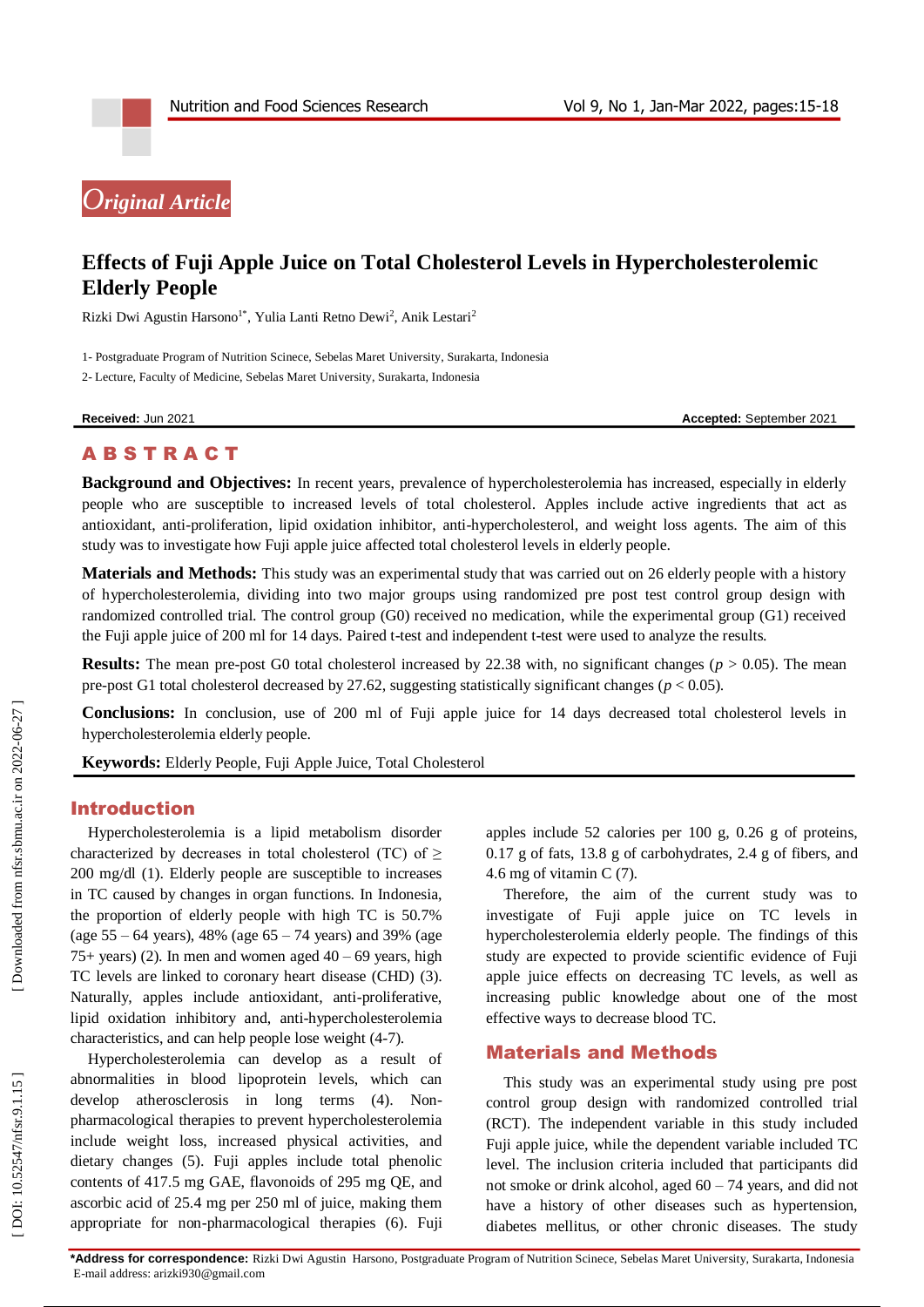# *Original Article*

## **Effects of Fuji Apple Juice on Total Cholesterol Levels in Hypercholesterolemic Elderly People**

Rizki Dwi Agustin Harsono<sup>1\*</sup>, Yulia Lanti Retno Dewi<sup>2</sup>, Anik Lestari<sup>2</sup>

1 - Postgraduate Program of Nutrition Scinece, Sebelas Maret University, Surakarta, Indonesia

2 - Lecture, Faculty of Medicine, Sebelas Maret University, Surakarta, Indonesia

**Received:** Ju

n 2021 **Accepted:** September 2021

## A B S T R A C T

**Background and Objectives:** In recent years, prevalence of hypercholesterolemia has increased, especially in elderly people who are susceptible to increased levels of total cholesterol. Apples include active ingredients that act as antioxidant, anti -proliferation, lipid oxidation inhibitor, anti -hypercholesterol, and weight loss agents. The aim of this study was to investigate how Fuji apple juice affected total cholesterol levels in elderly people.

**Materials and Methods:** This study was an experimental study that was carried out on 26 elderly people with a history of hypercholesterolemia, dividing into two major groups using randomized pre post test control group design with randomized controlled trial. The control group (G0) received no medication, while the experimental group (G1) received the Fuji apple juice of 200 ml for 14 days. Paired t -test and independent t -test were used to analyze the results.

**Results:** The mean pre-post G0 total cholesterol increased by 22.38 with, no significant changes ( $p > 0.05$ ). The mean pre -post G1 total cholesterol decreased by 27.62, suggesting statistically significant changes (*p* < 0.05).

**Conclusions:** In conclusion, use of 200 ml of Fuji apple juice for 14 days decreased total cholesterol levels in hypercholesterolemia elderly people.

**Keywords:** Elderly People, Fuji Apple Juice, Total Cholesterol

#### Introduction

Hypercholesterolemia is a lipid metabolism disorder characterized by decreases in total cholesterol (TC) of  $\geq$ 200 mg/dl (1). Elderly people are susceptible to increases in TC caused by changes in organ functions. In Indonesia, the proportion of elderly people with high TC is 50.7% (age 55 – 64 years), 48% (age 65 – 74 years) and 39% (age 75+ years) (2). In men and women aged  $40 - 69$  years, high TC levels are linked to coronary heart disease (CHD) (3). Naturally, apples include antioxidant, anti -proliferative, lipid oxidation inhibitory and, anti -hypercholesterolemia characteristics, and can help people lose weight (4-7).

Hypercholesterolemia can develop as a result of abnormalities in blood lipoprotein levels, which can develop atherosclerosis in long terms (4). Non pharmacological therapies to prevent hypercholesterolemia include weight loss, increased physical activities, and dietary changes (5). Fuji apples include total phenolic contents of 417.5 mg GAE, flavonoids of 295 mg QE, and ascorbic acid of 25.4 mg per 250 ml of juice, making them appropriate for non -pharmacological therapies (6). Fuji apples include 52 calories per 100 g, 0.26 g of proteins, 0.17 g of fats, 13.8 g of carbohydrates, 2.4 g of fibers, and 4.6 mg of vitamin C (7).

Therefore, the aim of the current study was to investigate of Fuji apple juice on TC levels in hypercholesterolemia elderly people. The findings of this study are expected to provide scientific evidence of Fuji apple juice effects on decreasing TC levels, as well as increasing public knowledge about one of the most effective ways to decrease blood TC.

### Material s and Methods

This study was an experimental study using pre post control group design with randomized controlled trial (RCT). The independent variable in this study included Fuji apple juice, while the dependent variable included TC level. The inclusion criteria included that participants did not smoke or drink alcohol, aged 60 – 74 years, and did not have a history of other diseases such as hypertension, diabetes mellitus, or other chronic diseases. The study

**\*Address for correspondence:** Rizki Dwi Agustin Harsono, Postgraduate Program of Nutrition Scinece, Sebelas Maret University, Surakarta, Indonesia E-mail address: arizki930@gmail.com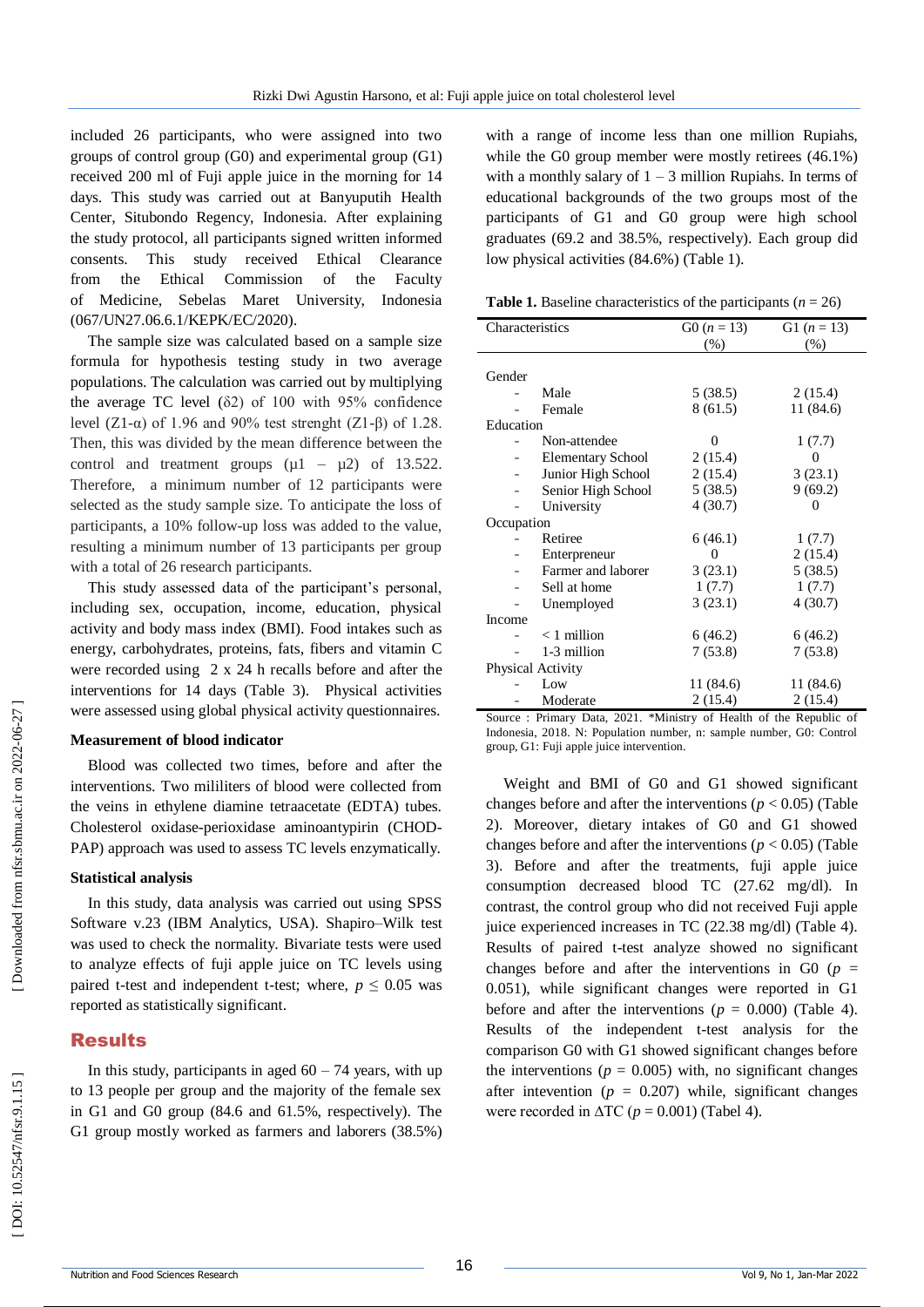included 26 participants, who were assigned into two groups of control group (G0) and experimental group (G1) received 200 ml of Fuji apple juice in the morning for 14 days. This study was carried out at Banyuputih Health Center, Situbondo Regency, Indonesia. After explaining the study protocol, all participants signed written informed consents. This study received Ethical Clearance from the Ethical Commission of the Faculty of Medicine, Sebelas Maret University, Indonesia (067/UN27.06.6.1/KEPK/EC/2020).

The sample size was calculated based on a sample size formula for hypothesis testing study in two average populations. The calculation was carried out by multiplying the average TC level  $(\delta 2)$  of 100 with 95% confidence level (Z1-α) of 1.96 and 90% test strenght (Z1-β) of 1.28. Then, this was divided by the mean difference between the control and treatment groups  $(\mu 1 - \mu 2)$  of 13.522. Therefore, a minimum number of 12 participants were selected as the study sample size. To anticipate the loss of participants, a 10% follow -up loss was added to the value, resulting a minimum number of 13 participants per group with a total of 26 research participants.

This study assessed data of the participant's personal, including sex, occupation, income, education, physical activity and body mass index (BMI). Food intakes such as energy, carbohydrates, proteins, fats, fibers and vitamin C were recorded using 2 x 24 h recalls before and after the interventions for 14 days (Table 3). Physical activities were assessed using global physical activity questionnaires.

#### **Measurement of blood indicator**

Blood was collected two times, before and after the interventions. Two mililiters of blood were collected from the veins in ethylene diamine tetraacetate (EDTA) tubes. Cholesterol oxidase -perioxidase aminoantypirin (CHOD - PAP) approach was used to assess TC levels enzymatically.

#### **Statistical analysis**

In this study, data analysis was carried out using SPSS Software v.23 (IBM Analytics, USA). Shapiro –Wilk test was used to check the normality. Bivariate tests were used to analyze effects of fuji apple juice on TC levels using paired t-test and independent t-test; where,  $p \le 0.05$  was reported as statistically significant.

## Results

In this study, participants in aged  $60 - 74$  years, with up to 13 people per group and the majority of the female sex in G1 and G0 group (84.6 and 61.5%, respectively). The G1 group mostly worked as farmers and laborers (38.5%)

with a range of income less than one million Rupiahs, while the G0 group member were mostly retirees (46.1%) with a monthly salary of  $1 - 3$  million Rupiahs. In terms of educational backgrounds of the two groups most of the participants of G1 and G0 group were high school graduates (69.2 and 38.5%, respectively). Each group did low physical activities (84.6%) (Table 1).

**Table 1.** Baseline characteristics of the participants  $(n = 26)$ 

| Characteristics   |                          | $G(0 (n = 13))$ | G1 $(n = 13)$ |
|-------------------|--------------------------|-----------------|---------------|
|                   |                          | (% )            | (%)           |
|                   |                          |                 |               |
| Gender            |                          |                 |               |
|                   | Male                     | 5(38.5)         | 2(15.4)       |
|                   | Female                   | 8 (61.5)        | 11 (84.6)     |
| Education         |                          |                 |               |
|                   | Non-attendee             | 0               | 1(7.7)        |
|                   | <b>Elementary School</b> | 2(15.4)         | 0             |
|                   | Junior High School       | 2(15.4)         | 3(23.1)       |
|                   | Senior High School       | 5(38.5)         | 9(69.2)       |
|                   | University               | 4(30.7)         | 0             |
| Occupation        |                          |                 |               |
|                   | Retiree                  | 6(46.1)         | 1(7.7)        |
|                   | Enterpreneur             | 0               | 2(15.4)       |
|                   | Farmer and laborer       | 3(23.1)         | 5(38.5)       |
|                   | Sell at home             | 1(7.7)          | 1(7.7)        |
|                   | Unemployed               | 3(23.1)         | 4(30.7)       |
| Income            |                          |                 |               |
|                   | $<$ 1 million            | 6(46.2)         | 6(46.2)       |
|                   | 1-3 million              | 7(53.8)         | 7(53.8)       |
| Physical Activity |                          |                 |               |
|                   | Low                      | 11 (84.6)       | 11 (84.6)     |
|                   | Moderate                 | 2(15.4)         | 2(15.4)       |

Source : Primary Data, 2021. \*Ministry of Health of the Republic of Indonesia, 2018. N: Population number, n: sample number, G0: Control group, G1: Fuji apple juice intervention.

Weight and BMI of G0 and G1 showed significant changes before and after the interventions ( $p < 0.05$ ) (Table 2). Moreover, dietary intakes of G0 and G1 showed changes before and after the interventions (*p* < 0.05) (Table 3). Before and after the treatments, fuji apple juice consumption decreased blood TC (27.62 mg/dl). In contrast, the control group who did not received Fuji apple juice experienced increases in TC (22.38 mg/dl) (Table 4). Results of paired t -test analyze showed no significant changes before and after the interventions in G0 ( $p =$ 0.051), while significant changes were reported in G1 before and after the interventions ( $p = 0.000$ ) (Table 4). Results of the independent t -test analysis for the comparison G0 with G1 showed significant changes before the interventions ( $p = 0.005$ ) with, no significant changes after intevention  $(p = 0.207)$  while, significant changes were recorded in  $\Delta TC$  ( $p = 0.001$ ) (Tabel 4).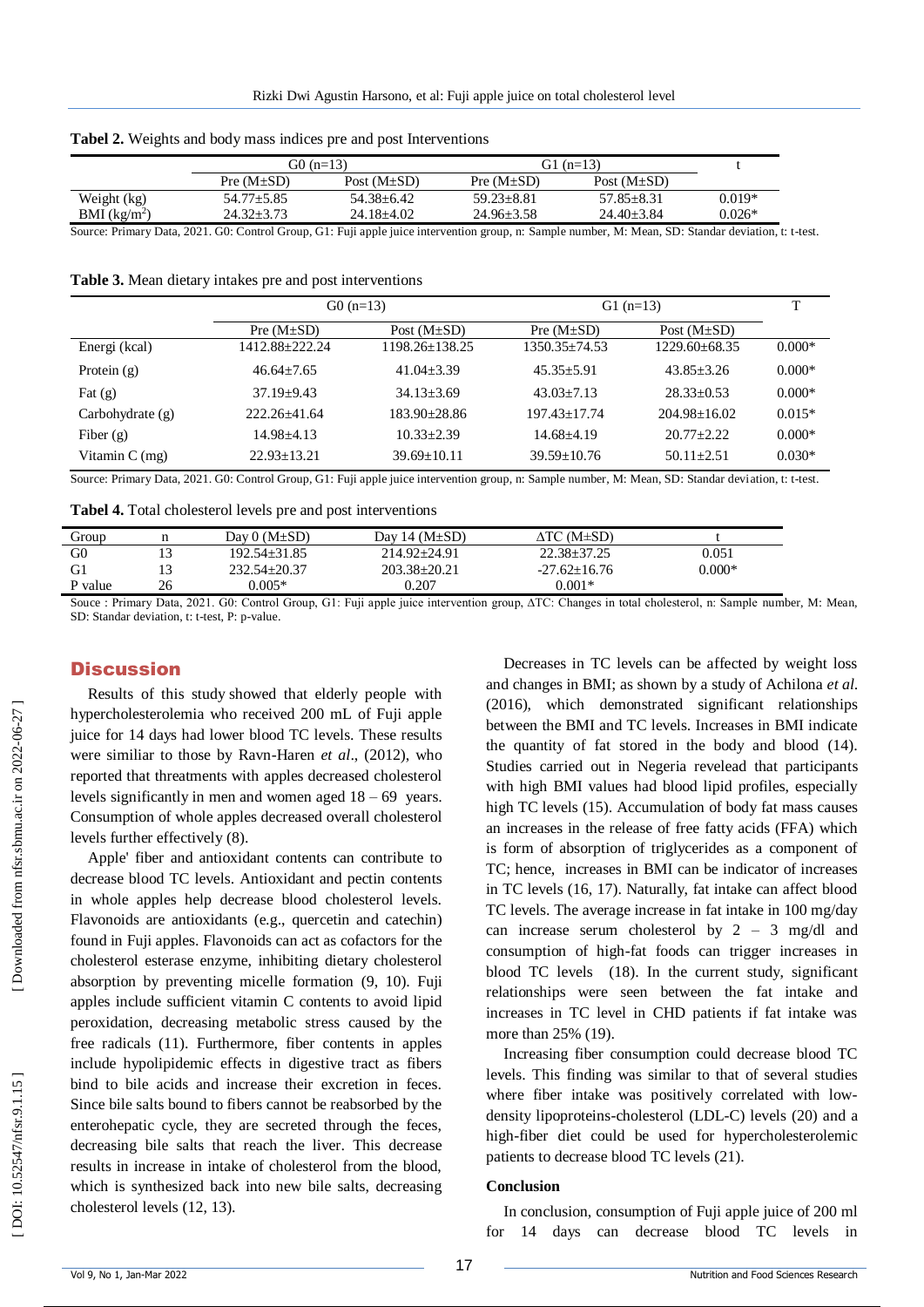|               | G0 $(n=13)$      |                   |                  | G1 (n=13)         |          |
|---------------|------------------|-------------------|------------------|-------------------|----------|
|               | Pre $(M \pm SD)$ | Post $(M \pm SD)$ | Pre $(M \pm SD)$ | Post $(M \pm SD)$ |          |
| Weight (kg)   | $54.77 \pm 5.85$ | $54.38 + 6.42$    | $59.23 + 8.81$   | $57.85 + 8.31$    | $0.019*$ |
| BMI $(kg/m2)$ | $24.32 \pm 3.73$ | 24.18+4.02        | $24.96 + 3.58$   | $24.40 + 3.84$    | $0.026*$ |

Source: Primary Data, 2021. G0: Control Group, G1: Fuji apple juice intervention group, n: Sample number, M: Mean, SD: Standar deviation, t: t -test.

**Table 3.** Mean dietary intakes pre and post interventions

|                    | $G0(n=13)$       |                   | $G1$ (n=13)       |                   | T        |
|--------------------|------------------|-------------------|-------------------|-------------------|----------|
|                    | Pre $(M \pm SD)$ | Post $(M \pm SD)$ | Pre $(M \pm SD)$  | Post $(M \pm SD)$ |          |
| Energi (kcal)      | 1412.88+222.24   | 1198.26+138.25    | $1350.35 + 74.53$ | $1229.60 + 68.35$ | $0.000*$ |
| Protein $(g)$      | $46.64 + 7.65$   | $41.04 + 3.39$    | $45.35 + 5.91$    | $43.85 + 3.26$    | $0.000*$ |
| Fat $(g)$          | $37.19 + 9.43$   | $34.13 + 3.69$    | $43.03 + 7.13$    | $28.33+0.53$      | $0.000*$ |
| Carbohydrate $(g)$ | 222.26+41.64     | $183.90 + 28.86$  | $197.43 + 17.74$  | $204.98 + 16.02$  | $0.015*$ |
| Fiber $(g)$        | $14.98 + 4.13$   | $10.33 + 2.39$    | $14.68 + 4.19$    | $20.77 + 2.22$    | $0.000*$ |
| Vitamin $C$ (mg)   | $22.93 + 13.21$  | $39.69 + 10.11$   | $39.59 + 10.76$   | $50.11 + 2.51$    | $0.030*$ |

Source: Primary Data, 2021. G0: Control Group, G1: Fuji apple juice intervention group, n: Sample number, M: Mean, SD: Standar deviation, t: t -test.

**Tabel 4.** Total cholesterol levels pre and post interventions

| Group          |    | Dav $0(M \pm SD)$ | Day 14 $(M \pm SD)$ | ΔTC (M±SD)         |          |
|----------------|----|-------------------|---------------------|--------------------|----------|
|                |    |                   |                     |                    |          |
| G <sub>0</sub> |    | 192.54+31.85      | 214.92+24.91        | $22.38 + 37.25$    | 0.051    |
| G <sub>1</sub> |    | $232.54 + 20.37$  | $203.38 + 20.21$    | $-27.62 \pm 16.76$ | $0.000*$ |
| P value        | 26 | $0.005*$          | 0.207               | $0.001*$           |          |

Souce : Primary Data, 2021. G0: Control Group, G1: Fuji apple juice intervention group, ∆TC: Changes in total cholesterol, n: Sample number, M: Mean, SD: Standar deviation, t: t -test, P: p -value.

#### **Discussion**

Results of this study showed that elderly people with hypercholesterolemia who received 200 mL of Fuji apple juice for 14 days had lower blood TC levels. These results were similiar to those by Ravn -Haren *et al*., (2012), who reported that threatments with apples decreased cholesterol levels significantly in men and women aged 18 – 69 years. Consumption of whole apples decreased overall cholesterol levels further effectively (8) .

Apple' fiber and antioxidant contents can contribute to decrease blood TC levels. Antioxidant and pectin contents in whole apples help decrease blood cholesterol levels. Flavonoids are antioxidants (e.g., quercetin and catechin) found in Fuji apples. Flavonoids can act as cofactors for the cholesterol esterase enzyme, inhibiting dietary cholesterol absorption by preventing micelle formation (9, 10). Fuji apples include sufficient vitamin C contents to avoid lipid peroxidation, decreasing metabolic stress caused by the free radicals (11). Furthermore, fiber contents in apples include hypolipidemic effects in digestive tract as fibers bind to bile acids and increase their excretion in feces. Since bile salts bound to fibers cannot be reabsorbed by the enterohepatic cycle, they are secreted through the feces, decreasing bile salts that reach the liver. This decrease results in increase in intake of cholesterol from the blood, which is synthesized back into new bile salts, decreasing cholesterol levels (12, 13) .

Decreases in TC levels can be affected by weight loss and changes in BMI; as shown by a study of Achilona *et al*. (2016), which demonstrated significant relationships between the BMI and TC levels. Increases in BMI indicate the quantity of fat stored in the body and blood (14). Studies carried out in Negeria revelead that participants with high BMI values had blood lipid profiles, especially high TC levels (15). Accumulation of body fat mass causes an increases in the release of free fatty acids (FFA) which is form of absorption of triglycerides as a component of TC; hence, increases in BMI can be indicator of increases in TC levels (16, 17). Naturally, fat intake can affect blood TC levels. The average increase in fat intake in 100 mg/day can increase serum cholesterol by  $2 - 3$  mg/dl and consumption of high -fat foods can trigger increases in blood TC levels (18). In the current study, significant relationships were seen between the fat intake and increases in TC level in CHD patients if fat intake was more than 25% (19).

Increasing fiber consumption could decrease blood TC levels. This finding was similar to that of several studies where fiber intake was positively correlated with lowdensity lipoproteins -cholesterol (LDL -C) levels (20) and a high -fiber diet could be used for hypercholesterolemic patients to decrease blood TC levels (21) .

#### **Conclusion**

In conclusion, consumption of Fuji apple juice of 200 ml for 14 days can decrease blood TC levels in